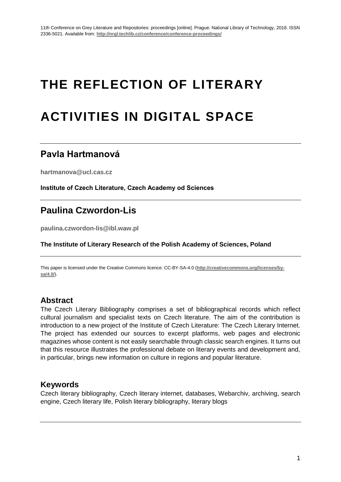# **THE REFLECTION OF LITERARY ACTIVITIES IN DIGITAL SPACE**

## **Pavla Hartmanová**

**[hartmanova@ucl.cas.cz](mailto:hartmanova@ucl.cas.cz)**

**Institute of Czech Literature, Czech Academy od Sciences**

# **Paulina Czwordon-Lis**

**paulina.czwordon-lis@ibl.waw.pl**

**The Institute of Literary Research of the Polish Academy of Sciences, Poland**

This paper is licensed under the Creative Commons licence: CC-BY-SA-4.0 (**http://creativecommons.org/licenses/bysa/4.0/**).

## **Abstract**

The Czech Literary Bibliography comprises a set of bibliographical records which reflect cultural journalism and specialist texts on Czech literature. The aim of the contribution is introduction to a new project of the Institute of Czech Literature: The Czech Literary Internet. The project has extended our sources to excerpt platforms, web pages and electronic magazines whose content is not easily searchable through classic search engines. It turns out that this resource illustrates the professional debate on literary events and development and, in particular, brings new information on culture in regions and popular literature.

## **Keywords**

Czech literary bibliography, Czech literary internet, databases, Webarchiv, archiving, search engine, Czech literary life, Polish literary bibliography, literary blogs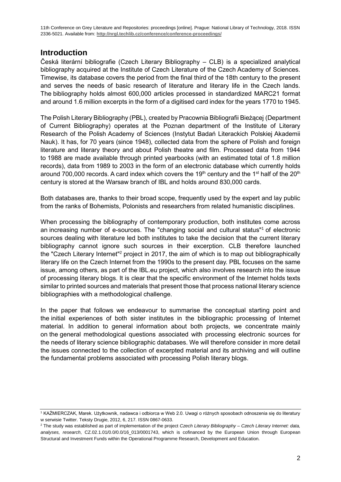## **Introduction**

Česká literární bibliografie (Czech Literary Bibliography – CLB) is a specialized analytical bibliography acquired at the Institute of Czech Literature of the Czech Academy of Sciences. Timewise, its database covers the period from the final third of the 18th century to the present and serves the needs of basic research of literature and literary life in the Czech lands. The bibliography holds almost 600,000 articles processed in standardized MARC21 format and around 1.6 million excerpts in the form of a digitised card index for the years 1770 to 1945.

The Polish Literary Bibliography (PBL), created by Pracownia Bibliografii Bieżącej (Department of Current Bibliography) operates at the Poznan department of the Institute of Literary Research of the Polish Academy of Sciences (Instytut Badań Literackich Polskiej Akademii Nauk). It has, for 70 years (since 1948), collected data from the sphere of Polish and foreign literature and literary theory and about Polish theatre and film. Processed data from 1944 to 1988 are made available through printed yearbooks (with an estimated total of 1.8 million records), data from 1989 to 2003 in the form of an electronic database which currently holds around 700,000 records. A card index which covers the 19<sup>th</sup> century and the 1<sup>st</sup> half of the 20<sup>th</sup> century is stored at the Warsaw branch of IBL and holds around 830,000 cards.

Both databases are, thanks to their broad scope, frequently used by the expert and lay public from the ranks of Bohemists, Polonists and researchers from related humanistic disciplines.

When processing the bibliography of contemporary production, both institutes come across an increasing number of e-sources. The "changing social and cultural status"<sup>1</sup> of electronic sources dealing with literature led both institutes to take the decision that the current literary bibliography cannot ignore such sources in their excerption. CLB therefore launched the "Czech Literary Internet"<sup>2</sup> project in 2017, the aim of which is to map out bibliographically literary life on the Czech Internet from the 1990s to the present day. PBL focuses on the same issue, among others, as part of the IBL.eu project, which also involves research into the issue of processing literary blogs. It is clear that the specific environment of the Internet holds texts similar to printed sources and materials that present those that process national literary science bibliographies with a methodological challenge.

In the paper that follows we endeavour to summarise the conceptual starting point and the initial experiences of both sister institutes in the bibliographic processing of Internet material. In addition to general information about both projects, we concentrate mainly on the general methodological questions associated with processing electronic sources for the needs of literary science bibliographic databases. We will therefore consider in more detail the issues connected to the collection of excerpted material and its archiving and will outline the fundamental problems associated with processing Polish literary blogs.

<sup>1</sup> KAŹMIERCZAK, Marek. Użytkownik, nadawca i odbiorca w Web 2.0. Uwagi o różnych sposobach odnoszenia się do literatury w serwisie Twitter. Teksty Drugie, 2012, 6, 217. ISSN 0867-0633.

<sup>2</sup> The study was established as part of implementation of the project *Czech Literary Bibliography – Czech Literary Internet: data, analyses, research*, CZ.02.1.01/0.0/0.0/16\_013/0001743, which is cofinanced by the European Union through European Structural and Investment Funds within the Operational Programme Research, Development and Education.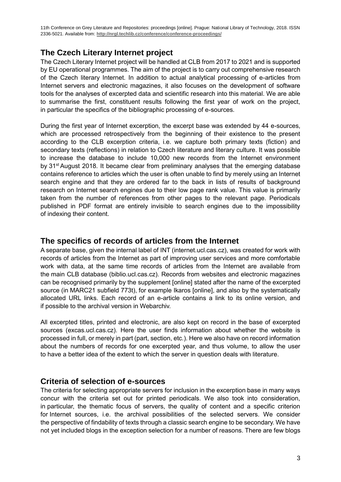## **The Czech Literary Internet project**

The Czech Literary Internet project will be handled at CLB from 2017 to 2021 and is supported by EU operational programmes. The aim of the project is to carry out comprehensive research of the Czech literary Internet. In addition to actual analytical processing of e-articles from Internet servers and electronic magazines, it also focuses on the development of software tools for the analyses of excerpted data and scientific research into this material. We are able to summarise the first, constituent results following the first year of work on the project, in particular the specifics of the bibliographic processing of e-sources.

During the first year of Internet excerption, the excerpt base was extended by 44 e-sources, which are processed retrospectively from the beginning of their existence to the present according to the CLB excerption criteria, i.e. we capture both primary texts (fiction) and secondary texts (reflections) in relation to Czech literature and literary culture. It was possible to increase the database to include 10,000 new records from the Internet environment by 31<sup>st</sup> August 2018. It became clear from preliminary analyses that the emerging database contains reference to articles which the user is often unable to find by merely using an Internet search engine and that they are ordered far to the back in lists of results of background research on Internet search engines due to their low page rank value. This value is primarily taken from the number of references from other pages to the relevant page. Periodicals published in PDF format are entirely invisible to search engines due to the impossibility of indexing their content.

## **The specifics of records of articles from the Internet**

A separate base, given the internal label of INT (internet.ucl.cas.cz), was created for work with records of articles from the Internet as part of improving user services and more comfortable work with data, at the same time records of articles from the Internet are available from the main CLB database (biblio.ucl.cas.cz). Records from websites and electronic magazines can be recognised primarily by the supplement [online] stated after the name of the excerpted source (in MARC21 subfield 773t), for example Ikaros [online], and also by the systematically allocated URL links. Each record of an e-article contains a link to its online version, and if possible to the archival version in Webarchiv.

All excerpted titles, printed and electronic, are also kept on record in the base of excerpted sources (excas.ucl.cas.cz). Here the user finds information about whether the website is processed in full, or merely in part (part, section, etc.). Here we also have on record information about the numbers of records for one excerpted year, and thus volume, to allow the user to have a better idea of the extent to which the server in question deals with literature.

## **Criteria of selection of e-sources**

The criteria for selecting appropriate servers for inclusion in the excerption base in many ways concur with the criteria set out for printed periodicals. We also took into consideration, in particular, the thematic focus of servers, the quality of content and a specific criterion for Internet sources, i.e. the archival possibilities of the selected servers. We consider the perspective of findability of texts through a classic search engine to be secondary. We have not yet included blogs in the exception selection for a number of reasons. There are few blogs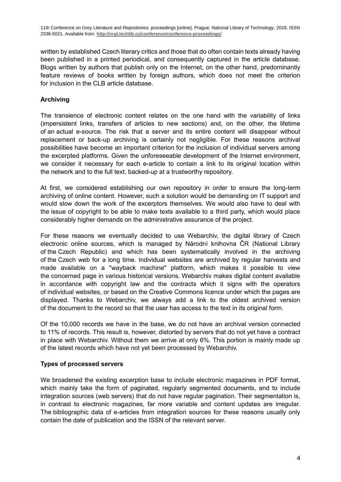written by established Czech literary critics and those that do often contain texts already having been published in a printed periodical, and consequently captured in the article database. Blogs written by authors that publish only on the Internet, on the other hand, predominantly feature reviews of books written by foreign authors, which does not meet the criterion for inclusion in the CLB article database.

#### **Archiving**

The transience of electronic content relates on the one hand with the variability of links (impersistent links, transfers of articles to new sections) and, on the other, the lifetime of an actual e-source. The risk that a server and its entire content will disappear without replacement or back-up archiving is certainly not negligible. For these reasons archival possibilities have become an important criterion for the inclusion of individual servers among the excerpted platforms. Given the unforeseeable development of the Internet environment, we consider it necessary for each e-article to contain a link to its original location within the network and to the full text, backed-up at a trustworthy repository.

At first, we considered establishing our own repository in order to ensure the long-term archiving of online content. However, such a solution would be demanding on IT support and would slow down the work of the excerptors themselves. We would also have to deal with the issue of copyright to be able to make texts available to a third party, which would place considerably higher demands on the administrative assurance of the project.

For these reasons we eventually decided to use Webarchiv, the digital library of Czech electronic online sources, which is managed by Národní knihovna ČR (National Library of the Czech Republic) and which has been systematically involved in the archiving of the Czech web for a long time. Individual websites are archived by regular harvests and made available on a "wayback machine" platform, which makes it possible to view the concerned page in various historical versions. Webarchiv makes digital content available in accordance with copyright law and the contracts which it signs with the operators of individual websites, or based on the Creative Commons licence under which the pages are displayed. Thanks to Webarchiv, we always add a link to the oldest archived version of the document to the record so that the user has access to the text in its original form.

Of the 10,000 records we have in the base, we do not have an archival version connected to 11% of records. This result is, however, distorted by servers that do not yet have a contract in place with Webarchiv. Without them we arrive at only 6%. This portion is mainly made up of the latest records which have not yet been processed by Webarchiv.

#### **Types of processed servers**

We broadened the existing excerption base to include electronic magazines in PDF format, which mainly take the form of paginated, regularly segmented documents, and to include integration sources (web servers) that do not have regular pagination. Their segmentation is, in contrast to electronic magazines, far more variable and content updates are irregular. The bibliographic data of e-articles from integration sources for these reasons usually only contain the date of publication and the ISSN of the relevant server.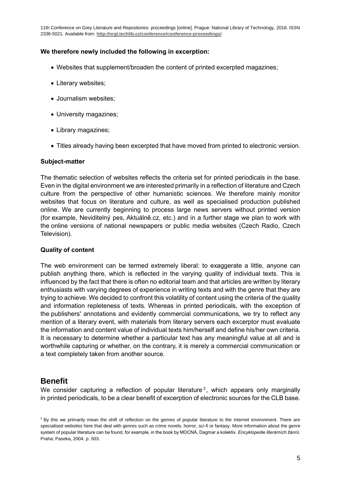#### **We therefore newly included the following in excerption:**

- Websites that supplement/broaden the content of printed excerpted magazines;
- Literary websites;
- Journalism websites;
- University magazines;
- Library magazines;
- Titles already having been excerpted that have moved from printed to electronic version.

#### **Subject-matter**

The thematic selection of websites reflects the criteria set for printed periodicals in the base. Even in the digital environment we are interested primarily in a reflection of literature and Czech culture from the perspective of other humanistic sciences. We therefore mainly monitor websites that focus on literature and culture, as well as specialised production published online. We are currently beginning to process large news servers without printed version (for example, Neviditelný pes, Aktuálně.cz, etc.) and in a further stage we plan to work with the online versions of national newspapers or public media websites (Czech Radio, Czech Television).

#### **Quality of content**

The web environment can be termed extremely liberal: to exaggerate a little, anyone can publish anything there, which is reflected in the varying quality of individual texts. This is influenced by the fact that there is often no editorial team and that articles are written by literary enthusiasts with varying degrees of experience in writing texts and with the genre that they are trying to achieve. We decided to confront this volatility of content using the criteria of the quality and information repleteness of texts. Whereas in printed periodicals, with the exception of the publishers' annotations and evidently commercial communications, we try to reflect any mention of a literary event, with materials from literary servers each excerptor must evaluate the information and content value of individual texts him/herself and define his/her own criteria. It is necessary to determine whether a particular text has any meaningful value at all and is worthwhile capturing or whether, on the contrary, it is merely a commercial communication or a text completely taken from another source.

## **Benefit**

We consider capturing a reflection of popular literature<sup>3</sup>, which appears only marginally in printed periodicals, to be a clear benefit of excerption of electronic sources for the CLB base.

<sup>&</sup>lt;sup>3</sup> By this we primarily mean the shift of reflection on the genres of popular literature to the Internet environment. There are specialised websites here that deal with genres such as crime novels, horror, sci-fi or fantasy. More information about the genre system of popular literature can be found, for example, in the book by MOCNÁ, Dagmar a kolektiv. *Encyklopedie literárních žánrů*. Praha: Paseka, 2004. p. 503.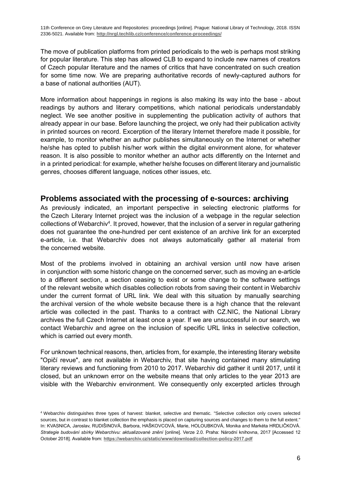The move of publication platforms from printed periodicals to the web is perhaps most striking for popular literature. This step has allowed CLB to expand to include new names of creators of Czech popular literature and the names of critics that have concentrated on such creation for some time now. We are preparing authoritative records of newly-captured authors for a base of national authorities (AUT).

More information about happenings in regions is also making its way into the base - about readings by authors and literary competitions, which national periodicals understandably neglect. We see another positive in supplementing the publication activity of authors that already appear in our base. Before launching the project, we only had their publication activity in printed sources on record. Excerption of the literary Internet therefore made it possible, for example, to monitor whether an author publishes simultaneously on the Internet or whether he/she has opted to publish his/her work within the digital environment alone, for whatever reason. It is also possible to monitor whether an author acts differently on the Internet and in a printed periodical: for example, whether he/she focuses on different literary and journalistic genres, chooses different language, notices other issues, etc.

#### **Problems associated with the processing of e-sources: archiving**

As previously indicated, an important perspective in selecting electronic platforms for the Czech Literary Internet project was the inclusion of a webpage in the regular selection collections of Webarchiv<sup>4</sup>. It proved, however, that the inclusion of a server in regular gathering does not guarantee the one-hundred per cent existence of an archive link for an excerpted e-article, i.e. that Webarchiv does not always automatically gather all material from the concerned website.

Most of the problems involved in obtaining an archival version until now have arisen in conjunction with some historic change on the concerned server, such as moving an e-article to a different section, a section ceasing to exist or some change to the software settings of the relevant website which disables collection robots from saving their content in Webarchiv under the current format of URL link. We deal with this situation by manually searching the archival version of the whole website because there is a high chance that the relevant article was collected in the past. Thanks to a contract with CZ.NIC, the National Library archives the full Czech Internet at least once a year. If we are unsuccessful in our search, we contact Webarchiv and agree on the inclusion of specific URL links in selective collection, which is carried out every month.

For unknown technical reasons, then, articles from, for example, the interesting literary website "Opičí revue", are not available in Webarchiv, that site having contained many stimulating literary reviews and functioning from 2010 to 2017. Webarchiv did gather it until 2017, until it closed, but an unknown error on the website means that only articles to the year 2013 are visible with the Webarchiv environment. We consequently only excerpted articles through

<sup>4</sup> Webarchiv distinguishes three types of harvest: blanket, selective and thematic. "Selective collection only covers selected sources, but in contrast to blanket collection the emphasis is placed on capturing sources and changes to them to the full extent." In: KVASNICA, Jaroslav, RUDIŠINOVÁ, Barbora, HAŠKOVCOVÁ, Marie, HOLOUBKOVÁ, Monika and Markéta HRDLIČKOVÁ. *Strategie budování sbírky Webarchivu: aktualizované znění* [online]. Verze 2.0. Praha: Národní knihovna, 2017 [Accessed 12 October 2018]. Available from: **<https://webarchiv.cz/static/www/download/collection-policy-2017.pdf>**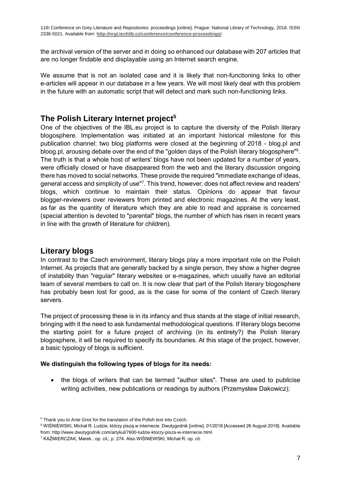the archival version of the server and in doing so enhanced our database with 207 articles that are no longer findable and displayable using an Internet search engine.

We assume that is not an isolated case and it is likely that non-functioning links to other e-articles will appear in our database in a few years. We will most likely deal with this problem in the future with an automatic script that will detect and mark such non-functioning links.

## **The Polish Literary Internet project<sup>5</sup>**

One of the objectives of the IBL.eu project is to capture the diversity of the Polish literary blogosphere. Implementation was initiated at an important historical milestone for this publication channel: two blog platforms were closed at the beginning of 2018 - blog.pl and bloog.pl, arousing debate over the end of the "golden days of the Polish literary blogosphere"<sup>6</sup>. The truth is that a whole host of writers' blogs have not been updated for a number of years, were officially closed or have disappeared from the web and the literary discussion ongoing there has moved to social networks. These provide the required "immediate exchange of ideas, general access and simplicity of use"<sup>7</sup>. This trend, however, does not affect review and readers' blogs, which continue to maintain their status. Opinions do appear that favour blogger-reviewers over reviewers from printed and electronic magazines. At the very least, as far as the quantity of literature which they are able to read and appraise is concerned (special attention is devoted to "parental" blogs, the number of which has risen in recent years in line with the growth of literature for children).

## **Literary blogs**

In contrast to the Czech environment, literary blogs play a more important role on the Polish Internet. As projects that are generally backed by a single person, they show a higher degree of instability than "regular" literary websites or e-magazines, which usually have an editorial team of several members to call on. It is now clear that part of the Polish literary blogosphere has probably been lost for good, as is the case for some of the content of Czech literary servers.

The project of processing these is in its infancy and thus stands at the stage of initial research, bringing with it the need to ask fundamental methodological questions. If literary blogs become the starting point for a future project of archiving (in its entirety?) the Polish literary blogosphere, it will be required to specify its boundaries. At this stage of the project, however, a basic typology of blogs is sufficient.

#### **We distinguish the following types of blogs for its needs:**

• the blogs of writers that can be termed "author sites". These are used to publicise writing activities, new publications or readings by authors (Przemysław Dakowicz);

<sup>&</sup>lt;sup>5</sup> Thank you to Anie Gnot for the translation of the Polish text into Czech.

<sup>6</sup> WIŚNIEWSKI, Michał R. Ludzie, którzy piszą w internecie. Dwutygodnik [online]. 01/2018 [Accessed 26 August 2018]. Available from: http://www.dwutygodnik.com/artykul/7600-ludzie-ktorzy-pisza-w-internecie.html

<sup>7</sup> KAŹMIERCZAK, Marek.: op. cit., p. 274. Also WIŚNIEWSKI, Michał R: op. cit.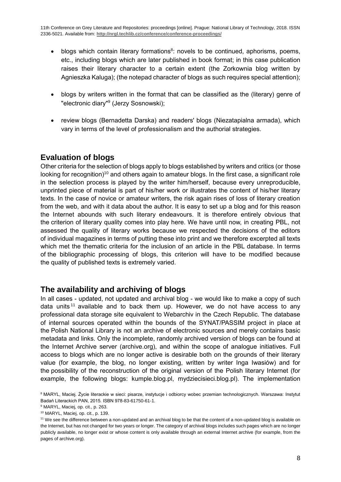- blogs which contain literary formations<sup>8</sup>: novels to be continued, aphorisms, poems, etc., including blogs which are later published in book format; in this case publication raises their literary character to a certain extent (the Zorkownia blog written by Agnieszka Kaluga); (the notepad character of blogs as such requires special attention);
- blogs by writers written in the format that can be classified as the (literary) genre of "electronic diary"<sup>9</sup> (Jerzy Sosnowski);
- review blogs (Bernadetta Darska) and readers' blogs (Niezatapialna armada), which vary in terms of the level of professionalism and the authorial strategies.

## **Evaluation of blogs**

Other criteria for the selection of blogs apply to blogs established by writers and critics (or those looking for recognition)<sup>10</sup> and others again to amateur blogs. In the first case, a significant role in the selection process is played by the writer him/herself, because every unreproducible, unprinted piece of material is part of his/her work or illustrates the content of his/her literary texts. In the case of novice or amateur writers, the risk again rises of loss of literary creation from the web, and with it data about the author. It is easy to set up a blog and for this reason the Internet abounds with such literary endeavours. It is therefore entirely obvious that the criterion of literary quality comes into play here. We have until now, in creating PBL, not assessed the quality of literary works because we respected the decisions of the editors of individual magazines in terms of putting these into print and we therefore excerpted all texts which met the thematic criteria for the inclusion of an article in the PBL database. In terms of the bibliographic processing of blogs, this criterion will have to be modified because the quality of published texts is extremely varied.

## **The availability and archiving of blogs**

In all cases - updated, not updated and archival blog - we would like to make a copy of such data units<sup>11</sup> available and to back them up. However, we do not have access to any professional data storage site equivalent to Webarchiv in the Czech Republic. The database of internal sources operated within the bounds of the SYNAT/PASSIM project in place at the Polish National Library is not an archive of electronic sources and merely contains basic metadata and links. Only the incomplete, randomly archived version of blogs can be found at the Internet Archive server (archive.org), and within the scope of analogue initiatives. Full access to blogs which are no longer active is desirable both on the grounds of their literary value (for example, the blog, no longer existing, written by writer Inga Iwasiów) and for the possibility of the reconstruction of the original version of the Polish literary Internet (for example, the following blogs: kumple.blog.pl, mydziecisieci.blog.pl). The implementation

<sup>&</sup>lt;sup>8</sup> MARYL, Maciej. Życie literackie w sieci: pisarze, instytucje i odbiorcy wobec przemian technologicznych. Warszawa: Instytut Badań Literackich PAN, 2015. ISBN 978-83-61750-61-1.

<sup>9</sup> MARYL, Maciej, op. cit., p. 263.

<sup>10</sup> MARYL, Maciej, op. cit., p. 139.

<sup>&</sup>lt;sup>11</sup> We see the difference between a non-updated and an archival blog to be that the content of a non-updated blog is available on the Internet, but has not changed for two years or longer. The category of archival blogs includes such pages which are no longer publicly available, no longer exist or whose content is only available through an external Internet archive (for example, from the pages of archive.org).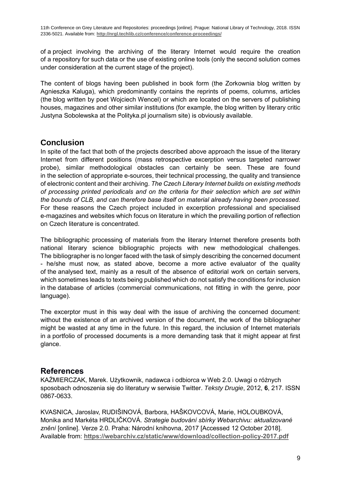of a project involving the archiving of the literary Internet would require the creation of a repository for such data or the use of existing online tools (only the second solution comes under consideration at the current stage of the project).

The content of blogs having been published in book form (the Zorkownia blog written by Agnieszka Kaluga), which predominantly contains the reprints of poems, columns, articles (the blog written by poet Wojciech Wencel) or which are located on the servers of publishing houses, magazines and other similar institutions (for example, the blog written by literary critic Justyna Sobolewska at the Polityka.pl journalism site) is obviously available.

## **Conclusion**

In spite of the fact that both of the projects described above approach the issue of the literary Internet from different positions (mass retrospective excerption versus targeted narrower probe), similar methodological obstacles can certainly be seen. These are found in the selection of appropriate e-sources, their technical processing, the quality and transience of electronic content and their archiving. *The Czech Literary Internet builds on existing methods of processing printed periodicals and on the criteria for their selection which are set within the bounds of CLB, and can therefore base itself on material already having been processed.* For these reasons the Czech project included in excerption professional and specialised e-magazines and websites which focus on literature in which the prevailing portion of reflection on Czech literature is concentrated.

The bibliographic processing of materials from the literary Internet therefore presents both national literary science bibliographic projects with new methodological challenges. The bibliographer is no longer faced with the task of simply describing the concerned document - he/she must now, as stated above, become a more active evaluator of the quality of the analysed text, mainly as a result of the absence of editorial work on certain servers, which sometimes leads to texts being published which do not satisfy the conditions for inclusion in the database of articles (commercial communications, not fitting in with the genre, poor language).

The excerptor must in this way deal with the issue of archiving the concerned document: without the existence of an archived version of the document, the work of the bibliographer might be wasted at any time in the future. In this regard, the inclusion of Internet materials in a portfolio of processed documents is a more demanding task that it might appear at first glance.

### **References**

KAŹMIERCZAK, Marek. Użytkownik, nadawca i odbiorca w Web 2.0. Uwagi o różnych sposobach odnoszenia się do literatury w serwisie Twitter. *Teksty Drugie*, 2012, **6**, 217. ISSN 0867-0633.

KVASNICA, Jaroslav, RUDIŠINOVÁ, Barbora, HAŠKOVCOVÁ, Marie, HOLOUBKOVÁ, Monika and Markéta HRDLIČKOVÁ. *Strategie budování sbírky Webarchivu: aktualizované znění* [online]. Verze 2.0. Praha: Národní knihovna, 2017 [Accessed 12 October 2018]. Available from: **<https://webarchiv.cz/static/www/download/collection-policy-2017.pdf>**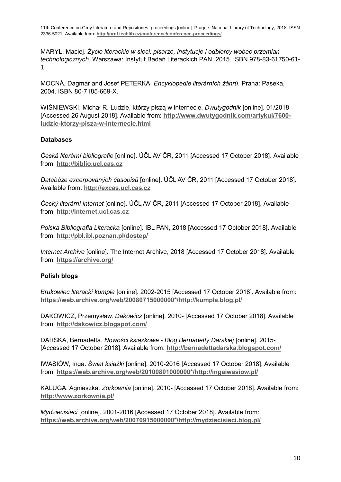MARYL, Maciej. *Życie literackie w sieci: pisarze, instytucje i odbiorcy wobec przemian technologicznych*. Warszawa: Instytut Badań Literackich PAN, 2015. ISBN 978-83-61750-61- 1.

MOCNÁ, Dagmar and Josef PETERKA. *Encyklopedie literárních žánrů*. Praha: Paseka, 2004. ISBN 80-7185-669-X.

WIŚNIEWSKI, Michał R. Ludzie, którzy piszą w internecie. *Dwutygodnik* [online]. 01/2018 [Accessed 26 August 2018]. Available from: **[http://www.dwutygodnik.com/artykul/7600](http://www.dwutygodnik.com/artykul/7600-ludzie-ktorzy-pisza-w-internecie.html) [ludzie-ktorzy-pisza-w-internecie.html](http://www.dwutygodnik.com/artykul/7600-ludzie-ktorzy-pisza-w-internecie.html)**

#### **Databases**

*Česká literární bibliografie* [online]. ÚČL AV ČR, 2011 [Accessed 17 October 2018]. Available from: **[http://biblio.ucl.cas.cz](http://biblio.ucl.cas.cz/)**

*Databáze excerpovaných časopisů* [online]. ÚČL AV ČR, 2011 [Accessed 17 October 2018]. Available from: **[http://excas.ucl.cas.cz](http://excas.ucl.cas.cz/)**

*Český literární internet* [online]. ÚČL AV ČR, 2011 [Accessed 17 October 2018]. Available from: **[http://internet.ucl.cas.cz](http://internet.ucl.cas.cz/)**

*Polska Bibliografia Literacka* [online]. IBL PAN, 2018 [Accessed 17 October 2018]. Available from: **<http://pbl.ibl.poznan.pl/dostep/>**

*Internet Archive* [online]. The Internet Archive, 2018 [Accessed 17 October 2018]. Available from: **<https://archive.org/>**

#### **Polish blogs**

*Brukowiec literacki kumple* [online]. 2002-2015 [Accessed 17 October 2018]. Available from: **[https://web.archive.org/web/20080715000000\\*/http://kumple.blog.pl/](https://web.archive.org/web/20080715000000*/http:/kumple.blog.pl/)**

DAKOWICZ, Przemysław. *Dakowicz* [online]. 2010- [Accessed 17 October 2018]. Available from: **<http://dakowicz.blogspot.com/>**

DARSKA, Bernadetta. *Nowości książkowe - Blog Bernadetty Darskiej* [online]. 2015- [Accessed 17 October 2018]. Available from: **<http://bernadettadarska.blogspot.com/>**

IWASIÓW, Inga. *Świat książki* [online]. 2010-2016 [Accessed 17 October 2018]. Available from: **[https://web.archive.org/web/20100801000000\\*/http://ingaiwasiow.pl/](https://web.archive.org/web/20100801000000*/http:/ingaiwasiow.pl/)**

KALUGA, Agnieszka. *Zorkownia* [online]. 2010- [Accessed 17 October 2018]. Available from: **<http://www.zorkownia.pl/>**

*Mydziecisieci* [online]. 2001-2016 [Accessed 17 October 2018]. Available from: **[https://web.archive.org/web/20070915000000\\*/http://mydziecisieci.blog.pl/](https://web.archive.org/web/20070915000000*/http:/mydziecisieci.blog.pl/)**